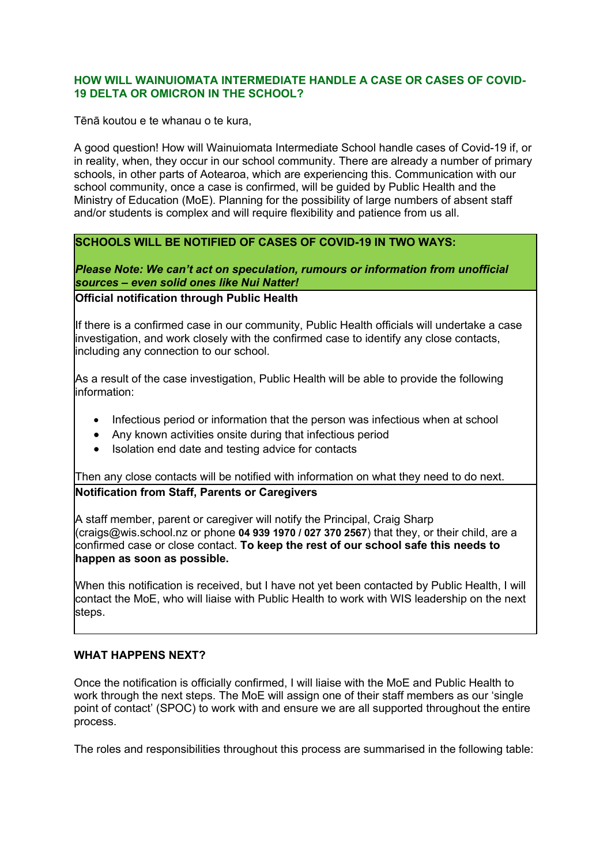### **HOW WILL WAINUIOMATA INTERMEDIATE HANDLE A CASE OR CASES OF COVID-19 DELTA OR OMICRON IN THE SCHOOL?**

Tēnā koutou e te whanau o te kura,

A good question! How will Wainuiomata Intermediate School handle cases of Covid-19 if, or in reality, when, they occur in our school community. There are already a number of primary schools, in other parts of Aotearoa, which are experiencing this. Communication with our school community, once a case is confirmed, will be guided by Public Health and the Ministry of Education (MoE). Planning for the possibility of large numbers of absent staff and/or students is complex and will require flexibility and patience from us all.

# **SCHOOLS WILL BE NOTIFIED OF CASES OF COVID-19 IN TWO WAYS:**

*Please Note: We can't act on speculation, rumours or information from unofficial sources – even solid ones like Nui Natter!*

### **Official notification through Public Health**

If there is a confirmed case in our community, Public Health officials will undertake a case investigation, and work closely with the confirmed case to identify any close contacts, including any connection to our school.

As a result of the case investigation, Public Health will be able to provide the following information:

- Infectious period or information that the person was infectious when at school
- Any known activities onsite during that infectious period
- Isolation end date and testing advice for contacts

Then any close contacts will be notified with information on what they need to do next. **Notification from Staff, Parents or Caregivers** 

A staff member, parent or caregiver will notify the Principal, Craig Sharp (craigs@wis.school.nz or phone **04 939 1970 / 027 370 2567**) that they, or their child, are a confirmed case or close contact. **To keep the rest of our school safe this needs to happen as soon as possible.** 

When this notification is received, but I have not yet been contacted by Public Health, I will contact the MoE, who will liaise with Public Health to work with WIS leadership on the next steps.

#### **WHAT HAPPENS NEXT?**

Once the notification is officially confirmed, I will liaise with the MoE and Public Health to work through the next steps. The MoE will assign one of their staff members as our 'single point of contact' (SPOC) to work with and ensure we are all supported throughout the entire process.

The roles and responsibilities throughout this process are summarised in the following table: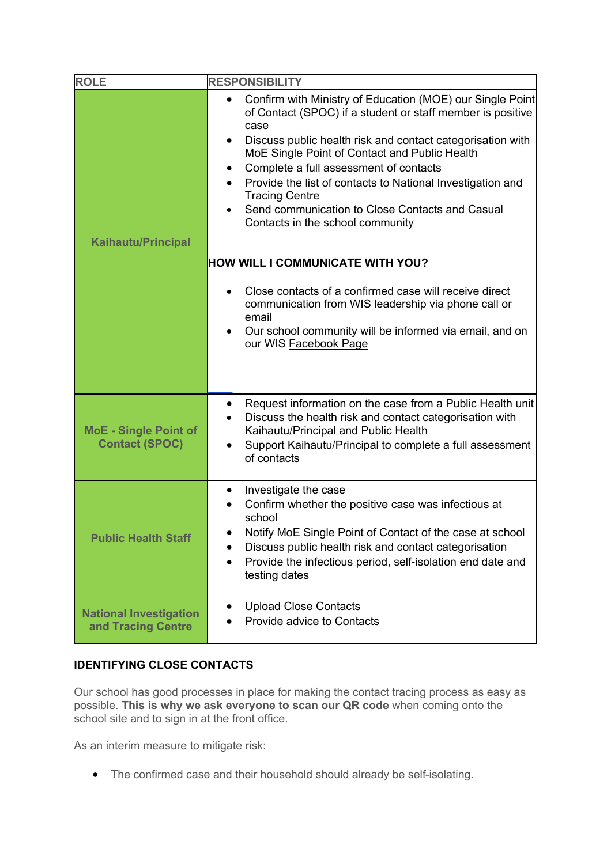| <b>ROLE</b>                                         | <b>RESPONSIBILITY</b>                                                                                                                                                                  |
|-----------------------------------------------------|----------------------------------------------------------------------------------------------------------------------------------------------------------------------------------------|
|                                                     | Confirm with Ministry of Education (MOE) our Single Point<br>of Contact (SPOC) if a student or staff member is positive<br>case                                                        |
|                                                     | Discuss public health risk and contact categorisation with<br>$\bullet$<br>MoE Single Point of Contact and Public Health                                                               |
|                                                     | Complete a full assessment of contacts                                                                                                                                                 |
|                                                     | Provide the list of contacts to National Investigation and<br>$\bullet$<br><b>Tracing Centre</b>                                                                                       |
|                                                     | Send communication to Close Contacts and Casual<br>Contacts in the school community                                                                                                    |
| <b>Kaihautu/Principal</b>                           |                                                                                                                                                                                        |
|                                                     | <b>HOW WILL I COMMUNICATE WITH YOU?</b>                                                                                                                                                |
|                                                     | Close contacts of a confirmed case will receive direct<br>communication from WIS leadership via phone call or<br>email                                                                 |
|                                                     | Our school community will be informed via email, and on<br>our WIS Facebook Page                                                                                                       |
|                                                     |                                                                                                                                                                                        |
| <b>MoE - Single Point of</b>                        | Request information on the case from a Public Health unit<br>$\bullet$<br>Discuss the health risk and contact categorisation with<br>$\bullet$<br>Kaihautu/Principal and Public Health |
| <b>Contact (SPOC)</b>                               | Support Kaihautu/Principal to complete a full assessment<br>$\bullet$<br>of contacts                                                                                                   |
|                                                     | Investigate the case<br>$\bullet$<br>Confirm whether the positive case was infectious at                                                                                               |
|                                                     | school                                                                                                                                                                                 |
| <b>Public Health Staff</b>                          | Notify MoE Single Point of Contact of the case at school                                                                                                                               |
|                                                     | Discuss public health risk and contact categorisation<br>Provide the infectious period, self-isolation end date and<br>$\bullet$<br>testing dates                                      |
|                                                     | <b>Upload Close Contacts</b><br>$\bullet$                                                                                                                                              |
| <b>National Investigation</b><br>and Tracing Centre | Provide advice to Contacts                                                                                                                                                             |

# **IDENTIFYING CLOSE CONTACTS**

Our school has good processes in place for making the contact tracing process as easy as possible. **This is why we ask everyone to scan our QR code** when coming onto the school site and to sign in at the front office.

As an interim measure to mitigate risk:

• The confirmed case and their household should already be self-isolating.